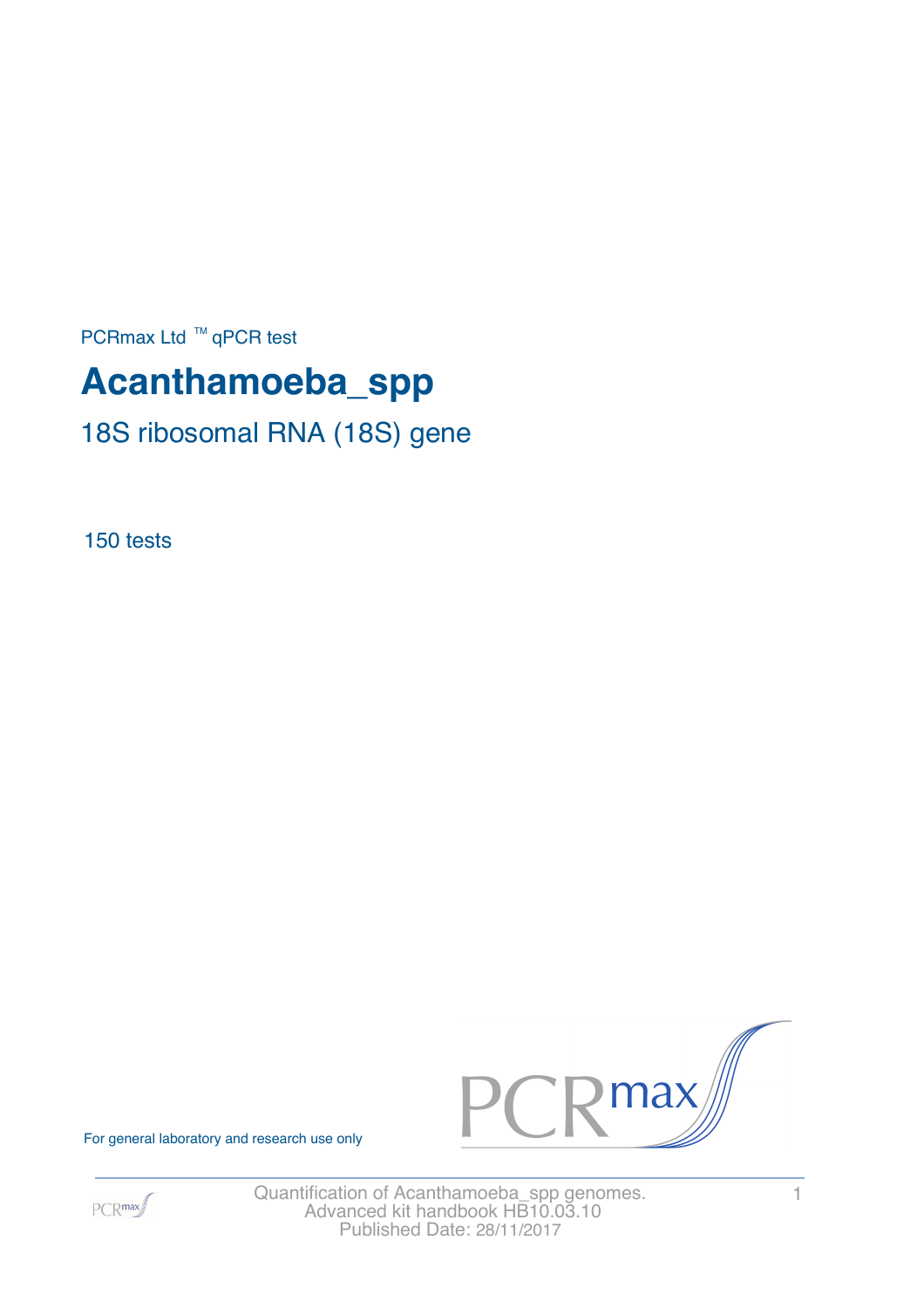PCRmax Ltd  $™$  qPCR test

# **Acanthamoeba\_spp**

18S ribosomal RNA (18S) gene

150 tests



For general laboratory and research use only



Quantification of Acanthamoeba\_spp genomes. 1 Advanced kit handbook HB10.03.10 Published Date: 28/11/2017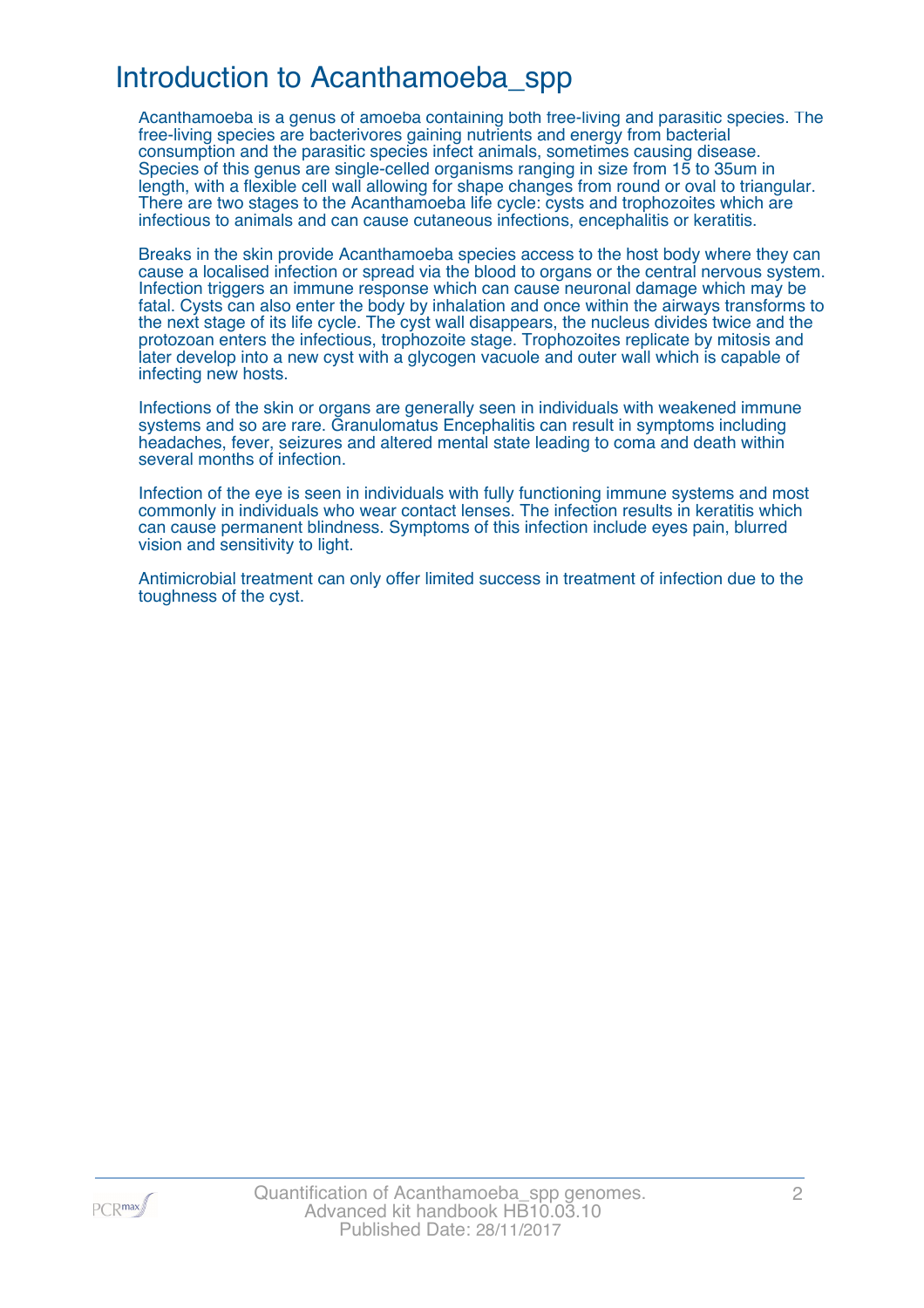### Introduction to Acanthamoeba\_spp

Acanthamoeba is a genus of amoeba containing both free-living and parasitic species. The free-living species are bacterivores gaining nutrients and energy from bacterial consumption and the parasitic species infect animals, sometimes causing disease. Species of this genus are single-celled organisms ranging in size from 15 to 35um in length, with a flexible cell wall allowing for shape changes from round or oval to triangular. There are two stages to the Acanthamoeba life cycle: cysts and trophozoites which are infectious to animals and can cause cutaneous infections, encephalitis or keratitis.

Breaks in the skin provide Acanthamoeba species access to the host body where they can cause a localised infection or spread via the blood to organs or the central nervous system. Infection triggers an immune response which can cause neuronal damage which may be fatal. Cysts can also enter the body by inhalation and once within the airways transforms to the next stage of its life cycle. The cyst wall disappears, the nucleus divides twice and the protozoan enters the infectious, trophozoite stage. Trophozoites replicate by mitosis and later develop into a new cyst with a glycogen vacuole and outer wall which is capable of infecting new hosts.

Infections of the skin or organs are generally seen in individuals with weakened immune systems and so are rare. Granulomatus Encephalitis can result in symptoms including headaches, fever, seizures and altered mental state leading to coma and death within several months of infection.

Infection of the eye is seen in individuals with fully functioning immune systems and most commonly in individuals who wear contact lenses. The infection results in keratitis which can cause permanent blindness. Symptoms of this infection include eyes pain, blurred vision and sensitivity to light.

Antimicrobial treatment can only offer limited success in treatment of infection due to the toughness of the cyst.

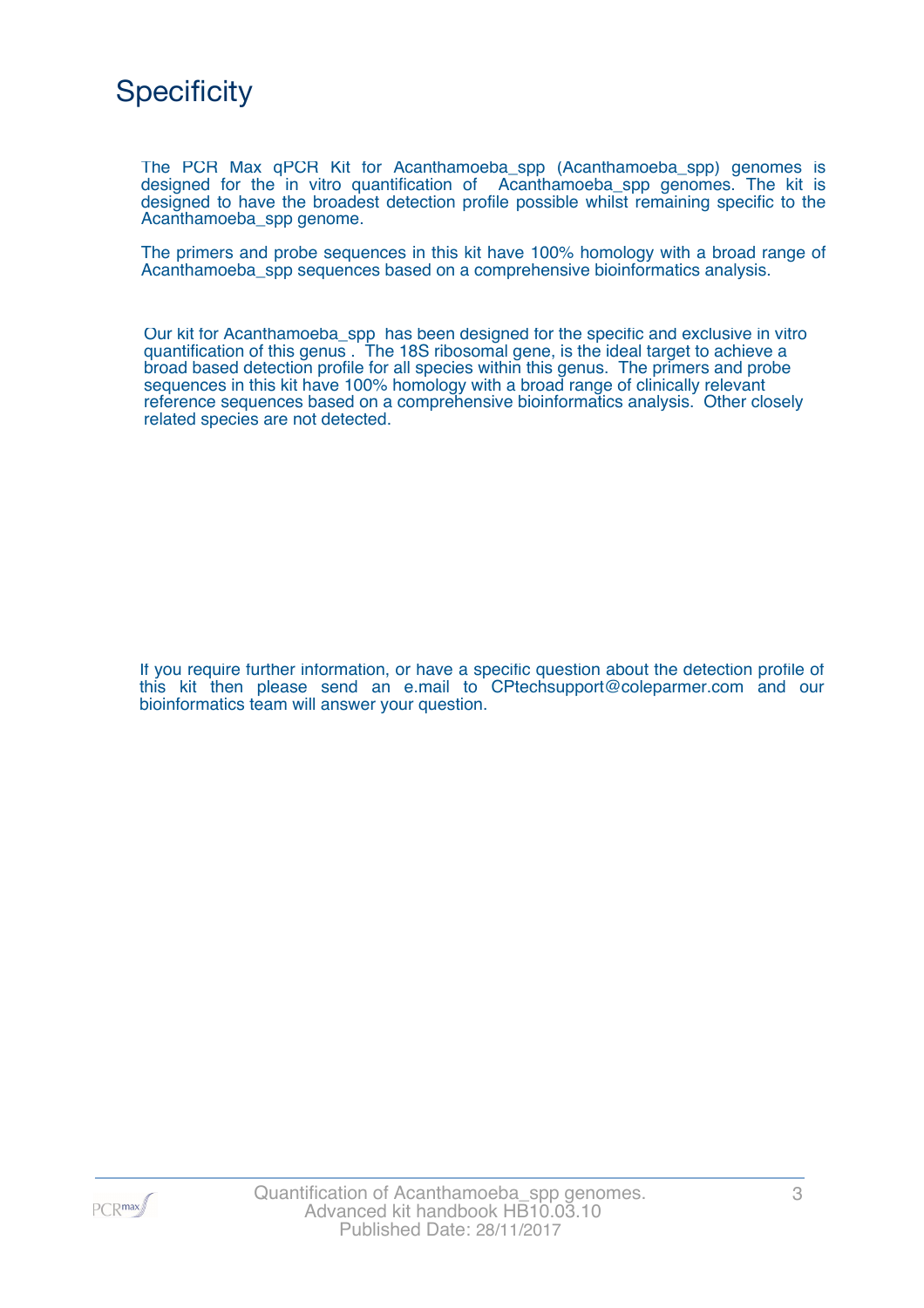

The PCR Max qPCR Kit for Acanthamoeba\_spp (Acanthamoeba\_spp) genomes is designed for the in vitro quantification of Acanthamoeba\_spp genomes. The kit is designed to have the broadest detection profile possible whilst remaining specific to the Acanthamoeba\_spp genome.

The primers and probe sequences in this kit have 100% homology with a broad range of Acanthamoeba\_spp sequences based on a comprehensive bioinformatics analysis.

Our kit for Acanthamoeba\_spp has been designed for the specific and exclusive in vitro quantification of this genus . The 18S ribosomal gene, is the ideal target to achieve a broad based detection profile for all species within this genus. The primers and probe sequences in this kit have 100% homology with a broad range of clinically relevant reference sequences based on a comprehensive bioinformatics analysis. Other closely related species are not detected.

If you require further information, or have a specific question about the detection profile of this kit then please send an e.mail to CPtechsupport@coleparmer.com and our bioinformatics team will answer your question.

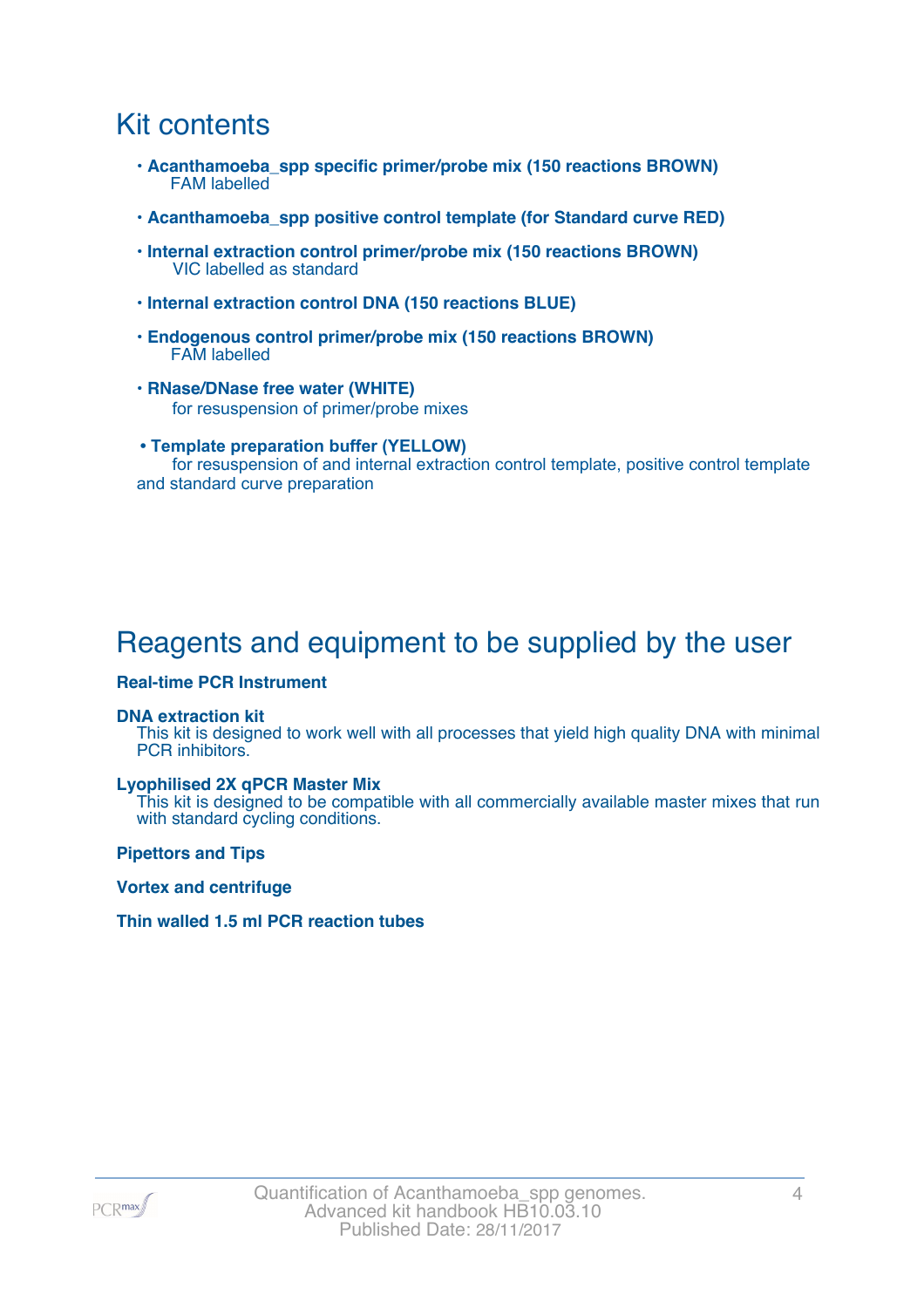### Kit contents

- **Acanthamoeba\_spp specific primer/probe mix (150 reactions BROWN)** FAM labelled
- **Acanthamoeba\_spp positive control template (for Standard curve RED)**
- **Internal extraction control primer/probe mix (150 reactions BROWN)** VIC labelled as standard
- **Internal extraction control DNA (150 reactions BLUE)**
- **Endogenous control primer/probe mix (150 reactions BROWN)** FAM labelled
- **RNase/DNase free water (WHITE)** for resuspension of primer/probe mixes
- **Template preparation buffer (YELLOW)** for resuspension of and internal extraction control template, positive control template and standard curve preparation

# Reagents and equipment to be supplied by the user

#### **Real-time PCR Instrument**

#### **DNA extraction kit**

This kit is designed to work well with all processes that yield high quality DNA with minimal PCR inhibitors.

#### **Lyophilised 2X qPCR Master Mix**

This kit is designed to be compatible with all commercially available master mixes that run with standard cycling conditions.

**Pipettors and Tips**

**Vortex and centrifuge**

#### **Thin walled 1.5 ml PCR reaction tubes**

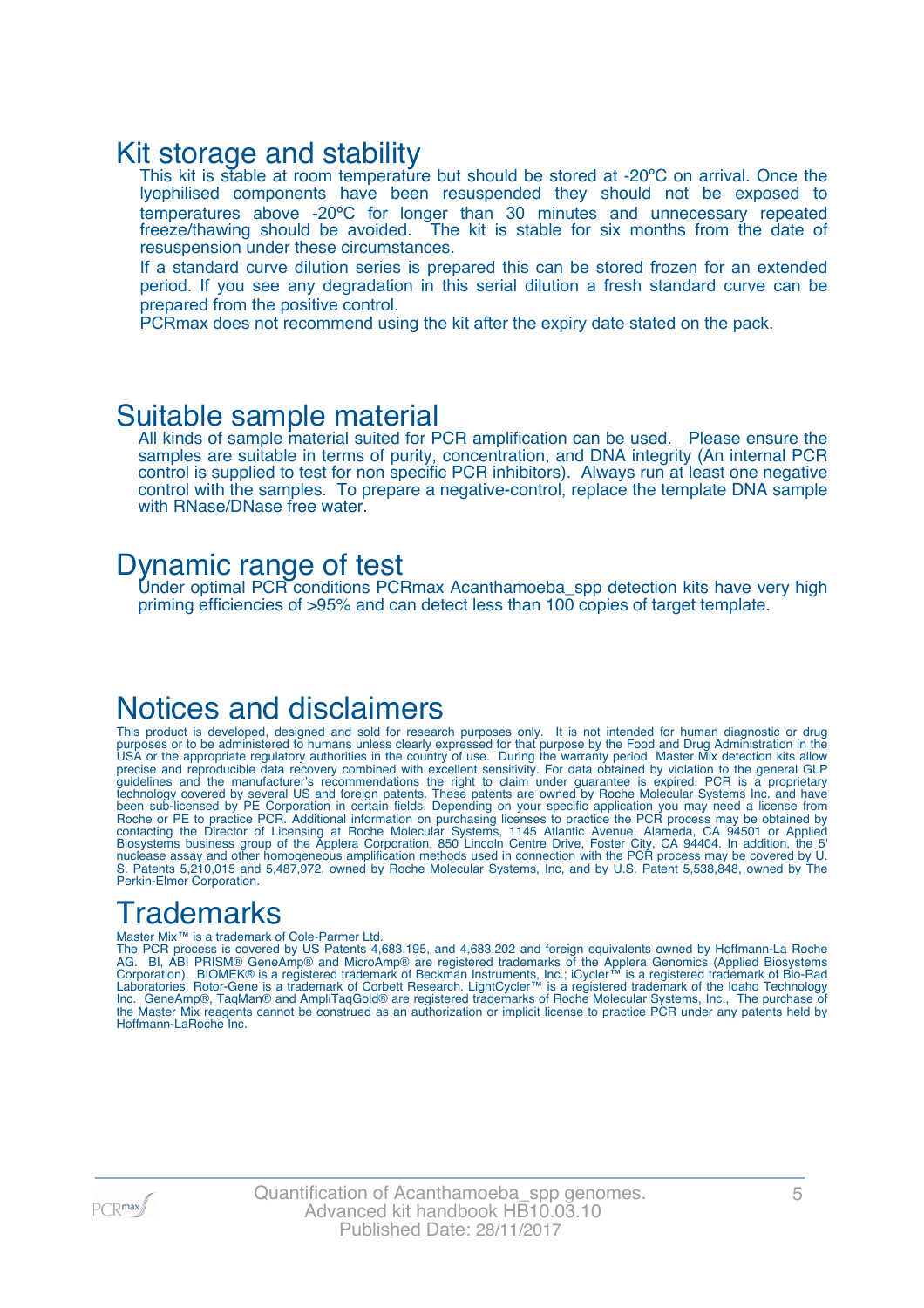### Kit storage and stability

This kit is stable at room temperature but should be stored at -20°C on arrival. Once the lyophilised components have been resuspended they should not be exposed to temperatures above -20ºC for longer than 30 minutes and unnecessary repeated freeze/thawing should be avoided. The kit is stable for six months from the date of resuspension under these circumstances.

If a standard curve dilution series is prepared this can be stored frozen for an extended period. If you see any degradation in this serial dilution a fresh standard curve can be prepared from the positive control.

PCRmax does not recommend using the kit after the expiry date stated on the pack.

### Suitable sample material

All kinds of sample material suited for PCR amplification can be used. Please ensure the samples are suitable in terms of purity, concentration, and DNA integrity (An internal PCR control is supplied to test for non specific PCR inhibitors). Always run at least one negative control with the samples. To prepare a negative-control, replace the template DNA sample with RNase/DNase free water.

### Dynamic range of test

Under optimal PCR conditions PCRmax Acanthamoeba\_spp detection kits have very high priming efficiencies of >95% and can detect less than 100 copies of target template.

### Notices and disclaimers

This product is developed, designed and sold for research purposes only. It is not intended for human diagnostic or drug purposes or to be administered to humans unless clearly expressed for that purpose by the Food and Drug Administration in the USA or the appropriate regulatory authorities in the country of use. During the warranty period Master Mix detection kits allow precise and reproducible data recovery combined with excellent sensitivity. For data obtained by violation to the general GLP guidelines and the manufacturer's recommendations the right to claim under guarantee is expired. PCR is a proprietary technology covered by several US and foreign patents. These patents are owned by Roche Molecular Systems Inc. and have been sub-licensed by PE Corporation in certain fields. Depending on your specific application you may need a license from Roche or PE to practice PCR. Additional information on purchasing licenses to practice the PCR process may be obtained by contacting the Director of Licensing at Roche Molecular Systems, 1145 Atlantic Avenue, Alameda, CA 94501 or Applied Biosystems business group of the Applera Corporation, 850 Lincoln Centre Drive, Foster City, CA 94404. In addition, the 5' nuclease assay and other homogeneous amplification methods used in connection with the PCR process may be covered by U. S. Patents 5,210,015 and 5,487,972, owned by Roche Molecular Systems, Inc, and by U.S. Patent 5,538,848, owned by The Perkin-Elmer Corporation.

# **Trademarks**

#### Master Mix™ is a trademark of Cole-Parmer Ltd.

The PCR process is covered by US Patents 4,683,195, and 4,683,202 and foreign equivalents owned by Hoffmann-La Roche AG. BI, ABI PRISM® GeneAmp® and MicroAmp® are registered trademarks of the Applera Genomics (Applied Biosystems Corporation). BIOMEK® is a registered trademark of Beckman Instruments, Inc.; iCycler™ is a registered trademark of Bio-Rad Laboratories, Rotor-Gene is a trademark of Corbett Research. LightCycler™ is a registered trademark of the Idaho Technology Inc. GeneAmp®, TaqMan® and AmpliTaqGold® are registered trademarks of Roche Molecular Systems, Inc., The purchase of the Master Mix reagents cannot be construed as an authorization or implicit license to practice PCR under any patents held by Hoffmann-LaRoche Inc.

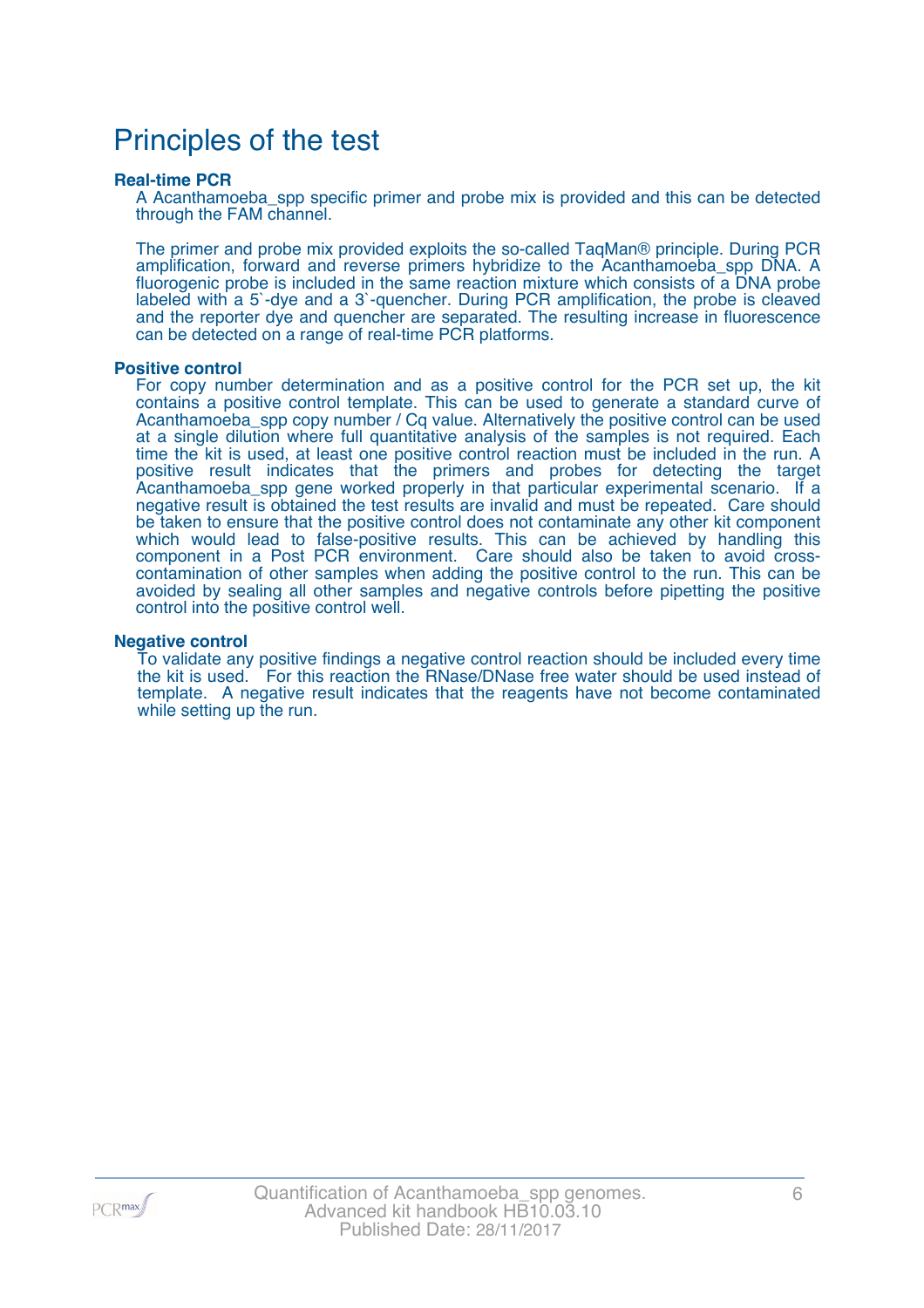### Principles of the test

#### **Real-time PCR**

A Acanthamoeba\_spp specific primer and probe mix is provided and this can be detected through the FAM channel.

The primer and probe mix provided exploits the so-called TaqMan® principle. During PCR amplification, forward and reverse primers hybridize to the Acanthamoeba\_spp DNA. A fluorogenic probe is included in the same reaction mixture which consists of a DNA probe labeled with a 5`-dye and a 3`-quencher. During PCR amplification, the probe is cleaved and the reporter dye and quencher are separated. The resulting increase in fluorescence can be detected on a range of real-time PCR platforms.

#### **Positive control**

For copy number determination and as a positive control for the PCR set up, the kit contains a positive control template. This can be used to generate a standard curve of Acanthamoeba\_spp copy number / Cq value. Alternatively the positive control can be used at a single dilution where full quantitative analysis of the samples is not required. Each time the kit is used, at least one positive control reaction must be included in the run. A positive result indicates that the primers and probes for detecting the target Acanthamoeba\_spp gene worked properly in that particular experimental scenario. If a negative result is obtained the test results are invalid and must be repeated. Care should be taken to ensure that the positive control does not contaminate any other kit component which would lead to false-positive results. This can be achieved by handling this component in a Post PCR environment. Care should also be taken to avoid crosscontamination of other samples when adding the positive control to the run. This can be avoided by sealing all other samples and negative controls before pipetting the positive control into the positive control well.

#### **Negative control**

To validate any positive findings a negative control reaction should be included every time the kit is used. For this reaction the RNase/DNase free water should be used instead of template. A negative result indicates that the reagents have not become contaminated while setting up the run.

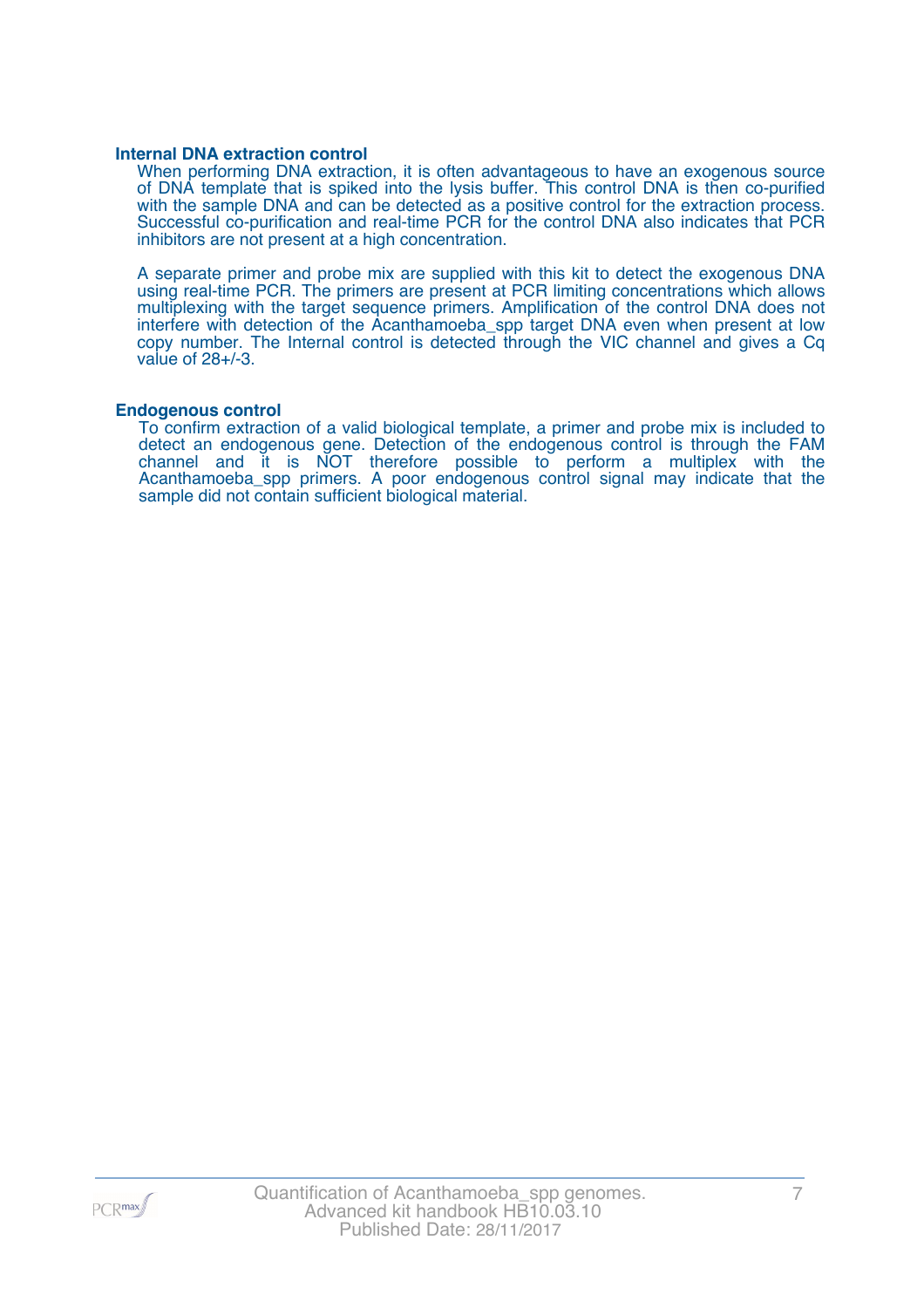#### **Internal DNA extraction control**

When performing DNA extraction, it is often advantageous to have an exogenous source of DNA template that is spiked into the lysis buffer. This control DNA is then co-purified with the sample DNA and can be detected as a positive control for the extraction process. Successful co-purification and real-time PCR for the control DNA also indicates that PCR inhibitors are not present at a high concentration.

A separate primer and probe mix are supplied with this kit to detect the exogenous DNA using real-time PCR. The primers are present at PCR limiting concentrations which allows multiplexing with the target sequence primers. Amplification of the control DNA does not interfere with detection of the Acanthamoeba\_spp target DNA even when present at low copy number. The Internal control is detected through the VIC channel and gives a Cq value of 28+/-3.

#### **Endogenous control**

To confirm extraction of a valid biological template, a primer and probe mix is included to detect an endogenous gene. Detection of the endogenous control is through the FAM channel and it is NOT therefore possible to perform a multiplex with the Acanthamoeba\_spp primers. A poor endogenous control signal may indicate that the sample did not contain sufficient biological material.

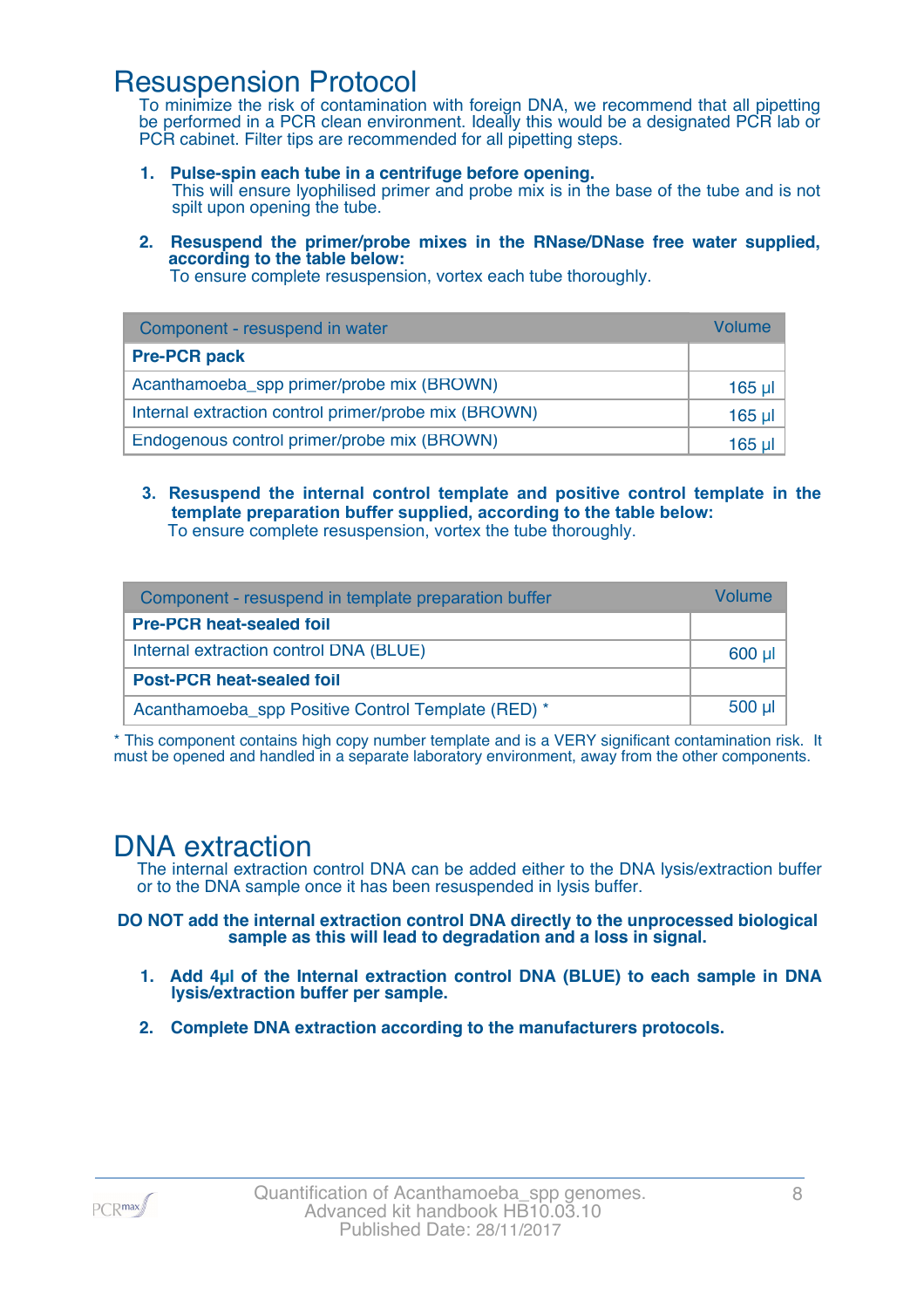### Resuspension Protocol

To minimize the risk of contamination with foreign DNA, we recommend that all pipetting be performed in a PCR clean environment. Ideally this would be a designated PCR lab or PCR cabinet. Filter tips are recommended for all pipetting steps.

- **1. Pulse-spin each tube in a centrifuge before opening.** This will ensure lyophilised primer and probe mix is in the base of the tube and is not spilt upon opening the tube.
- **2. Resuspend the primer/probe mixes in the RNase/DNase free water supplied, according to the table below:**

To ensure complete resuspension, vortex each tube thoroughly.

| Component - resuspend in water                       | Volume  |
|------------------------------------------------------|---------|
| <b>Pre-PCR pack</b>                                  |         |
| Acanthamoeba_spp primer/probe mix (BROWN)            | 165 µl  |
| Internal extraction control primer/probe mix (BROWN) | $165$ µ |
| Endogenous control primer/probe mix (BROWN)          | 165 ul  |

**3. Resuspend the internal control template and positive control template in the template preparation buffer supplied, according to the table below:** To ensure complete resuspension, vortex the tube thoroughly.

| Component - resuspend in template preparation buffer |          |  |
|------------------------------------------------------|----------|--|
| <b>Pre-PCR heat-sealed foil</b>                      |          |  |
| Internal extraction control DNA (BLUE)               | $600$ µ  |  |
| <b>Post-PCR heat-sealed foil</b>                     |          |  |
| Acanthamoeba spp Positive Control Template (RED) *   | $500$ µl |  |

\* This component contains high copy number template and is a VERY significant contamination risk. It must be opened and handled in a separate laboratory environment, away from the other components.

### DNA extraction

The internal extraction control DNA can be added either to the DNA lysis/extraction buffer or to the DNA sample once it has been resuspended in lysis buffer.

**DO NOT add the internal extraction control DNA directly to the unprocessed biological sample as this will lead to degradation and a loss in signal.**

- **1. Add 4µl of the Internal extraction control DNA (BLUE) to each sample in DNA lysis/extraction buffer per sample.**
- **2. Complete DNA extraction according to the manufacturers protocols.**

PCR<sub>max</sub>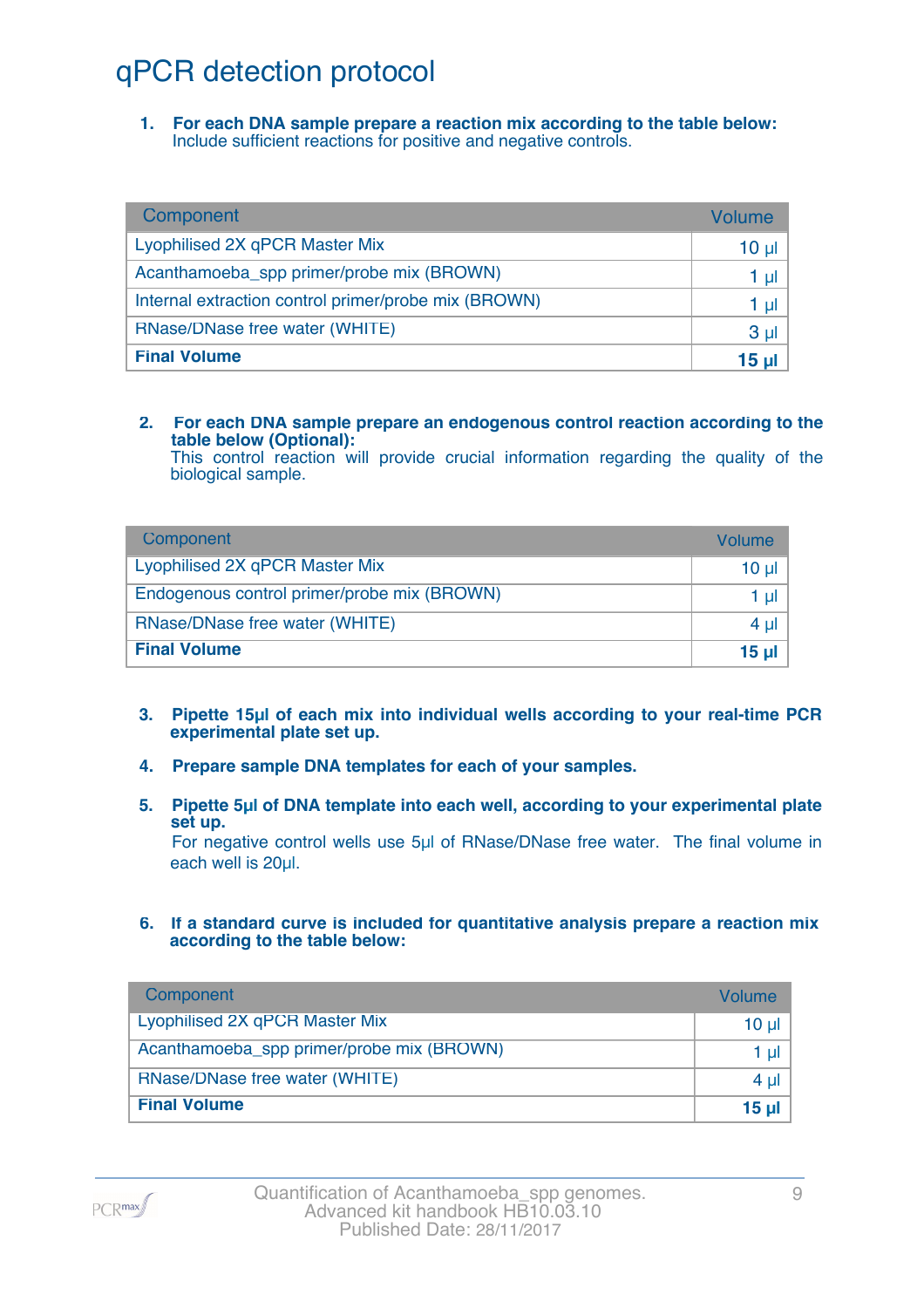# qPCR detection protocol

**1. For each DNA sample prepare a reaction mix according to the table below:** Include sufficient reactions for positive and negative controls.

| Component                                            | Volume          |
|------------------------------------------------------|-----------------|
| Lyophilised 2X qPCR Master Mix                       | 10 <sub>µ</sub> |
| Acanthamoeba_spp primer/probe mix (BROWN)            | 1 µl            |
| Internal extraction control primer/probe mix (BROWN) | 1 µl            |
| RNase/DNase free water (WHITE)                       | 3 <sub>µ</sub>  |
| <b>Final Volume</b>                                  | 15 <sub>µ</sub> |

#### **2. For each DNA sample prepare an endogenous control reaction according to the table below (Optional):**

This control reaction will provide crucial information regarding the quality of the biological sample.

| Component                                   | Volume       |
|---------------------------------------------|--------------|
| Lyophilised 2X qPCR Master Mix              | 10 ul        |
| Endogenous control primer/probe mix (BROWN) | 1 ul         |
| RNase/DNase free water (WHITE)              | 4 ul         |
| <b>Final Volume</b>                         | <u>15 ul</u> |

- **3. Pipette 15µl of each mix into individual wells according to your real-time PCR experimental plate set up.**
- **4. Prepare sample DNA templates for each of your samples.**
- **5. Pipette 5µl of DNA template into each well, according to your experimental plate set up.**

For negative control wells use 5µl of RNase/DNase free water. The final volume in each well is 20ul.

**6. If a standard curve is included for quantitative analysis prepare a reaction mix according to the table below:**

| Component                                 | Volume         |
|-------------------------------------------|----------------|
| Lyophilised 2X qPCR Master Mix            | $10 \mu$       |
| Acanthamoeba_spp primer/probe mix (BROWN) | 1 $\mu$        |
| RNase/DNase free water (WHITE)            | 4 $\mu$        |
| <b>Final Volume</b>                       | $15$ µ $\vert$ |

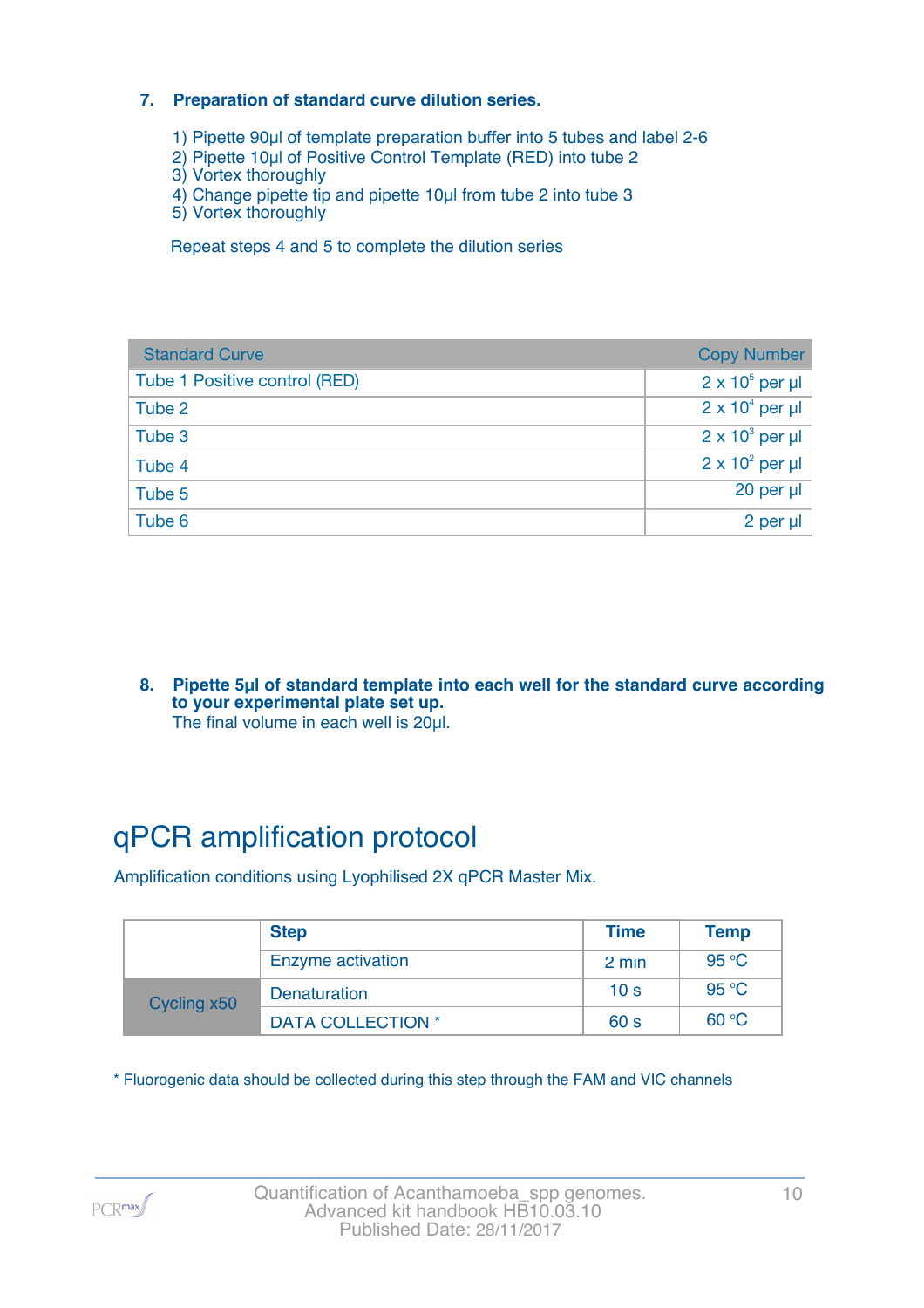#### **7. Preparation of standard curve dilution series.**

- 1) Pipette 90µl of template preparation buffer into 5 tubes and label 2-6
- 2) Pipette 10µl of Positive Control Template (RED) into tube 2
- 3) Vortex thoroughly
- 4) Change pipette tip and pipette 10µl from tube 2 into tube 3
- 5) Vortex thoroughly

Repeat steps 4 and 5 to complete the dilution series

| <b>Standard Curve</b>         | <b>Copy Number</b>     |
|-------------------------------|------------------------|
| Tube 1 Positive control (RED) | $2 \times 10^5$ per µl |
| Tube 2                        | $2 \times 10^4$ per µl |
| Tube 3                        | $2 \times 10^3$ per µl |
| Tube 4                        | $2 \times 10^2$ per µl |
| Tube 5                        | 20 per µl              |
| Tube 6                        | 2 per µl               |

**8. Pipette 5µl of standard template into each well for the standard curve according to your experimental plate set up.** The final volume in each well is 20µl.

# qPCR amplification protocol

Amplification conditions using Lyophilised 2X qPCR Master Mix.

|             | <b>Step</b>              | <b>Time</b>     | <b>Temp</b> |
|-------------|--------------------------|-----------------|-------------|
|             | Enzyme activation        | 2 min           | 95 °C       |
| Cycling x50 | <b>Denaturation</b>      | 10 <sub>s</sub> | 95 °C       |
|             | <b>DATA COLLECTION *</b> | 60 <sub>s</sub> | 60 °C       |

\* Fluorogenic data should be collected during this step through the FAM and VIC channels

PCR<sub>max</sub>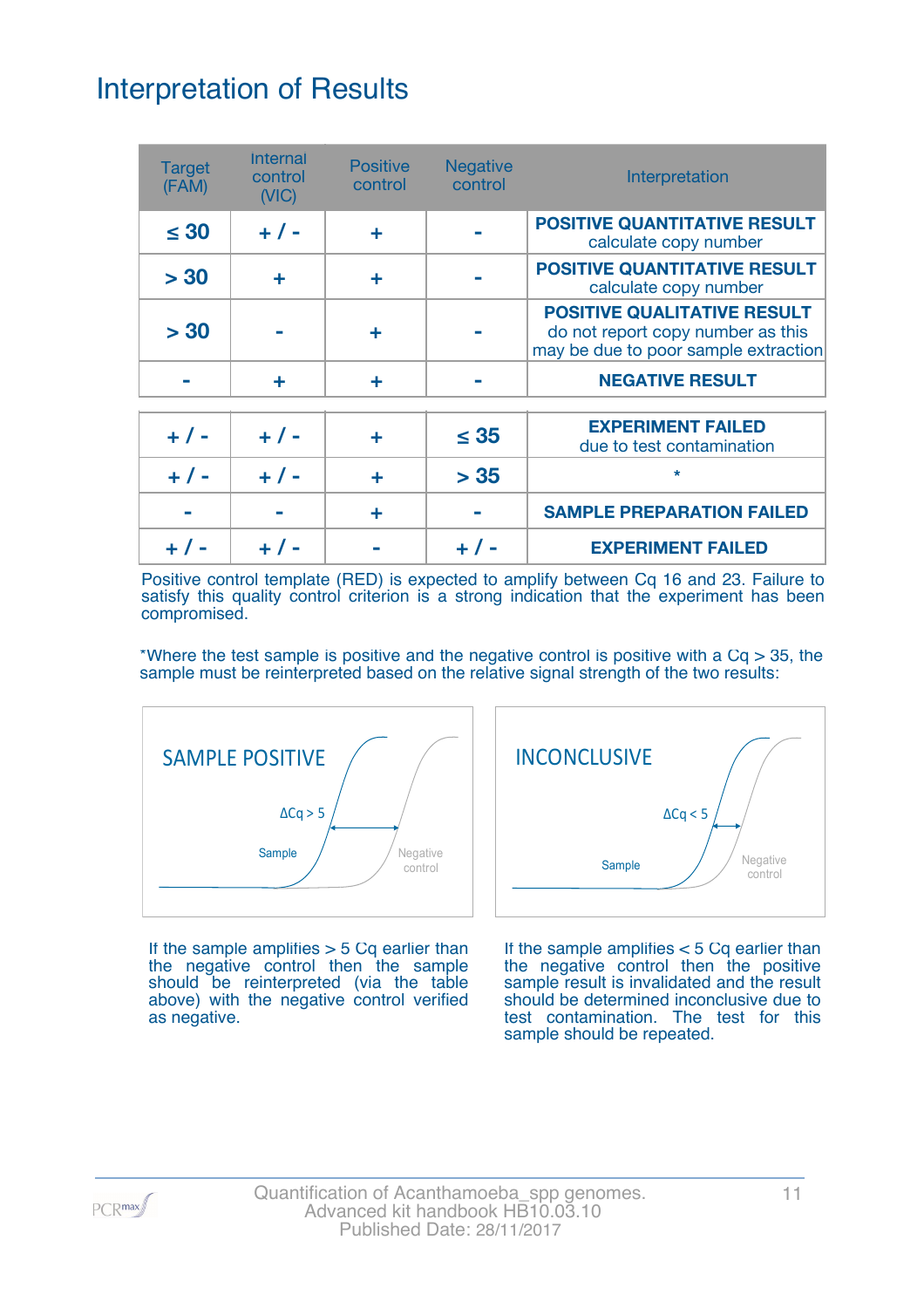# Interpretation of Results

| <b>Target</b><br>(FAM) | <b>Internal</b><br>control<br>(NIC) | <b>Positive</b><br>control | <b>Negative</b><br>control | Interpretation                                                                                                  |
|------------------------|-------------------------------------|----------------------------|----------------------------|-----------------------------------------------------------------------------------------------------------------|
| $\leq 30$              | $+ 1 -$                             | ٠                          |                            | <b>POSITIVE QUANTITATIVE RESULT</b><br>calculate copy number                                                    |
| > 30                   | ÷                                   | ٠                          |                            | <b>POSITIVE QUANTITATIVE RESULT</b><br>calculate copy number                                                    |
| > 30                   |                                     |                            |                            | <b>POSITIVE QUALITATIVE RESULT</b><br>do not report copy number as this<br>may be due to poor sample extraction |
|                        | ÷                                   | ٠                          |                            | <b>NEGATIVE RESULT</b>                                                                                          |
| $+ 1 -$                | $+ 1 -$                             | ÷                          | $\leq 35$                  | <b>EXPERIMENT FAILED</b><br>due to test contamination                                                           |
| $+ 1 -$                | $+ 1 -$                             | ÷                          | > 35                       | $\star$                                                                                                         |
|                        |                                     | ÷                          |                            | <b>SAMPLE PREPARATION FAILED</b>                                                                                |
|                        |                                     |                            |                            | <b>EXPERIMENT FAILED</b>                                                                                        |

Positive control template (RED) is expected to amplify between Cq 16 and 23. Failure to satisfy this quality control criterion is a strong indication that the experiment has been compromised.

\*Where the test sample is positive and the negative control is positive with a  $Cq > 35$ , the sample must be reinterpreted based on the relative signal strength of the two results:



If the sample amplifies  $> 5$  Cq earlier than the negative control then the sample should be reinterpreted (via the table above) with the negative control verified as negative.



If the sample amplifies < 5 Cq earlier than the negative control then the positive sample result is invalidated and the result should be determined inconclusive due to test contamination. The test for this sample should be repeated.